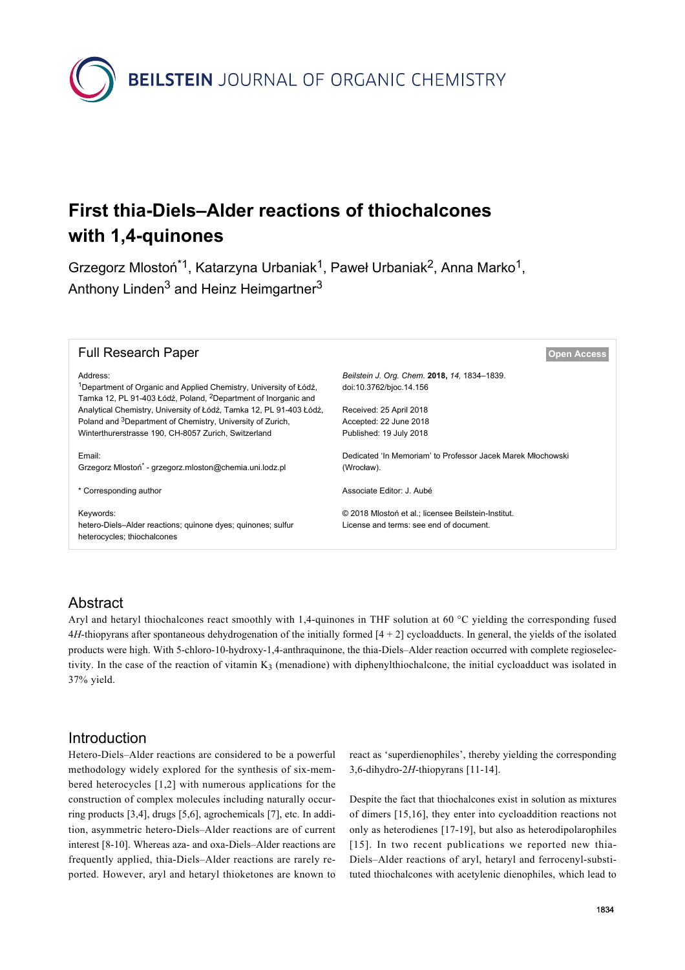

# **First thia-Diels–Alder reactions of thiochalcones with 1,4-quinones**

Grzegorz Mlostoń<sup>\*1</sup>, Katarzyna Urbaniak<sup>1</sup>, Paweł Urbaniak<sup>2</sup>, Anna Marko<sup>1</sup>, Anthony Linden<sup>3</sup> and Heinz Heimgartner<sup>3</sup>

| <b>Full Research Paper</b>                                                                                                                                              | <b>Open Access</b>                                                                             |
|-------------------------------------------------------------------------------------------------------------------------------------------------------------------------|------------------------------------------------------------------------------------------------|
| Address:<br><sup>1</sup> Department of Organic and Applied Chemistry, University of Łódź,<br>Tamka 12, PL 91-403 Łódź, Poland, <sup>2</sup> Department of Inorganic and | Beilstein J. Org. Chem. 2018, 14, 1834-1839.<br>doi:10.3762/bjoc.14.156                        |
| Analytical Chemistry, University of Łódź, Tamka 12, PL 91-403 Łódź,                                                                                                     | Received: 25 April 2018                                                                        |
| Poland and <sup>3</sup> Department of Chemistry, University of Zurich,                                                                                                  | Accepted: 22 June 2018                                                                         |
| Winterthurerstrasse 190, CH-8057 Zurich, Switzerland                                                                                                                    | Published: 19 July 2018                                                                        |
| Email:<br>Grzegorz Mlostoń <sup>*</sup> - grzegorz.mloston@chemia.uni.lodz.pl                                                                                           | Dedicated 'In Memoriam' to Professor Jacek Marek Młochowski<br>(Wrocław).                      |
| * Corresponding author                                                                                                                                                  | Associate Editor: J. Aubé                                                                      |
| Keywords:<br>hetero-Diels-Alder reactions; quinone dyes; quinones; sulfur<br>heterocycles; thiochalcones                                                                | © 2018 Mlostoń et al.; licensee Beilstein-Institut.<br>License and terms: see end of document. |
|                                                                                                                                                                         |                                                                                                |

# Abstract

Aryl and hetaryl thiochalcones react smoothly with 1,4-quinones in THF solution at 60 °C yielding the corresponding fused 4*H*-thiopyrans after spontaneous dehydrogenation of the initially formed [4 + 2] cycloadducts. In general, the yields of the isolated products were high. With 5-chloro-10-hydroxy-1,4-anthraquinone, the thia-Diels–Alder reaction occurred with complete regioselectivity. In the case of the reaction of vitamin  $K_3$  (menadione) with diphenylthiochalcone, the initial cycloadduct was isolated in 37% yield.

# Introduction

Hetero-Diels–Alder reactions are considered to be a powerful methodology widely explored for the synthesis of six-membered heterocycles [\[1,2\]](#page-4-0) with numerous applications for the construction of complex molecules including naturally occurring products [\[3,4\],](#page-5-0) drugs [\[5,6\],](#page-5-1) agrochemicals [\[7\],](#page-5-2) etc. In addition, asymmetric hetero-Diels–Alder reactions are of current interest [\[8-10\]](#page-5-3). Whereas aza- and oxa-Diels–Alder reactions are frequently applied, thia-Diels–Alder reactions are rarely reported. However, aryl and hetaryl thioketones are known to

react as 'superdienophiles', thereby yielding the corresponding 3,6-dihydro-2*H*-thiopyrans [\[11-14\]](#page-5-4).

Despite the fact that thiochalcones exist in solution as mixtures of dimers [\[15,16\],](#page-5-5) they enter into cycloaddition reactions not only as heterodienes [\[17-19\]](#page-5-6), but also as heterodipolarophiles [\[15\]](#page-5-5). In two recent publications we reported new thia-Diels–Alder reactions of aryl, hetaryl and ferrocenyl-substituted thiochalcones with acetylenic dienophiles, which lead to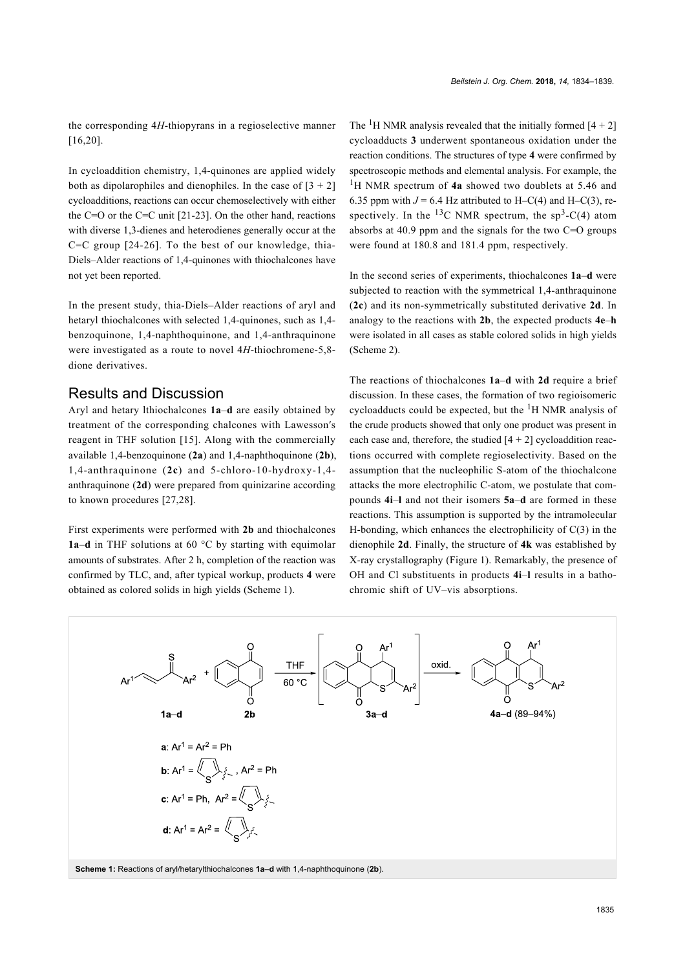the corresponding 4*H*-thiopyrans in a regioselective manner [\[16,20\]](#page-5-7).

In cycloaddition chemistry, 1,4-quinones are applied widely both as dipolarophiles and dienophiles. In the case of  $[3 + 2]$ cycloadditions, reactions can occur chemoselectively with either the C=O or the C=C unit [\[21-23\].](#page-5-8) On the other hand, reactions with diverse 1,3-dienes and heterodienes generally occur at the C=C group [\[24-26\]](#page-5-9). To the best of our knowledge, thia-Diels–Alder reactions of 1,4-quinones with thiochalcones have not yet been reported.

In the present study, thia-Diels–Alder reactions of aryl and hetaryl thiochalcones with selected 1,4-quinones, such as 1,4 benzoquinone, 1,4-naphthoquinone, and 1,4-anthraquinone were investigated as a route to novel 4*H*-thiochromene-5,8 dione derivatives.

#### Results and Discussion

Aryl and hetary lthiochalcones **1a**–**d** are easily obtained by treatment of the corresponding chalcones with Lawesson′s reagent in THF solution [\[15\]](#page-5-5). Along with the commercially available 1,4-benzoquinone (**2a**) and 1,4-naphthoquinone (**2b**), 1,4-anthraquinone (**2c**) and 5-chloro-10-hydroxy-1,4 anthraquinone (**2d**) were prepared from quinizarine according to known procedures [\[27,28\].](#page-5-10)

First experiments were performed with **2b** and thiochalcones **1a**–**d** in THF solutions at 60 °C by starting with equimolar amounts of substrates. After 2 h, completion of the reaction was confirmed by TLC, and, after typical workup, products **4** were obtained as colored solids in high yields ([Scheme 1\)](#page-1-0).

The <sup>1</sup>H NMR analysis revealed that the initially formed  $[4 + 2]$ cycloadducts **3** underwent spontaneous oxidation under the reaction conditions. The structures of type **4** were confirmed by spectroscopic methods and elemental analysis. For example, the <sup>1</sup>H NMR spectrum of **4a** showed two doublets at 5.46 and 6.35 ppm with  $J = 6.4$  Hz attributed to H–C(4) and H–C(3), respectively. In the <sup>13</sup>C NMR spectrum, the  $sp^3-C(4)$  atom absorbs at 40.9 ppm and the signals for the two C=O groups were found at 180.8 and 181.4 ppm, respectively.

In the second series of experiments, thiochalcones **1a**–**d** were subjected to reaction with the symmetrical 1,4-anthraquinone (**2c**) and its non-symmetrically substituted derivative **2d**. In analogy to the reactions with **2b**, the expected products **4e**–**h** were isolated in all cases as stable colored solids in high yields ([Scheme 2](#page-2-0)).

The reactions of thiochalcones **1a**–**d** with **2d** require a brief discussion. In these cases, the formation of two regioisomeric cycloadducts could be expected, but the  ${}^{1}H$  NMR analysis of the crude products showed that only one product was present in each case and, therefore, the studied  $[4 + 2]$  cycloaddition reactions occurred with complete regioselectivity. Based on the assumption that the nucleophilic S-atom of the thiochalcone attacks the more electrophilic C-atom, we postulate that compounds **4i**–**l** and not their isomers **5a**–**d** are formed in these reactions. This assumption is supported by the intramolecular H-bonding, which enhances the electrophilicity of  $C(3)$  in the dienophile **2d**. Finally, the structure of **4k** was established by X-ray crystallography ([Figure 1](#page-2-1)). Remarkably, the presence of OH and Cl substituents in products **4i**–**l** results in a bathochromic shift of UV–vis absorptions.

<span id="page-1-0"></span>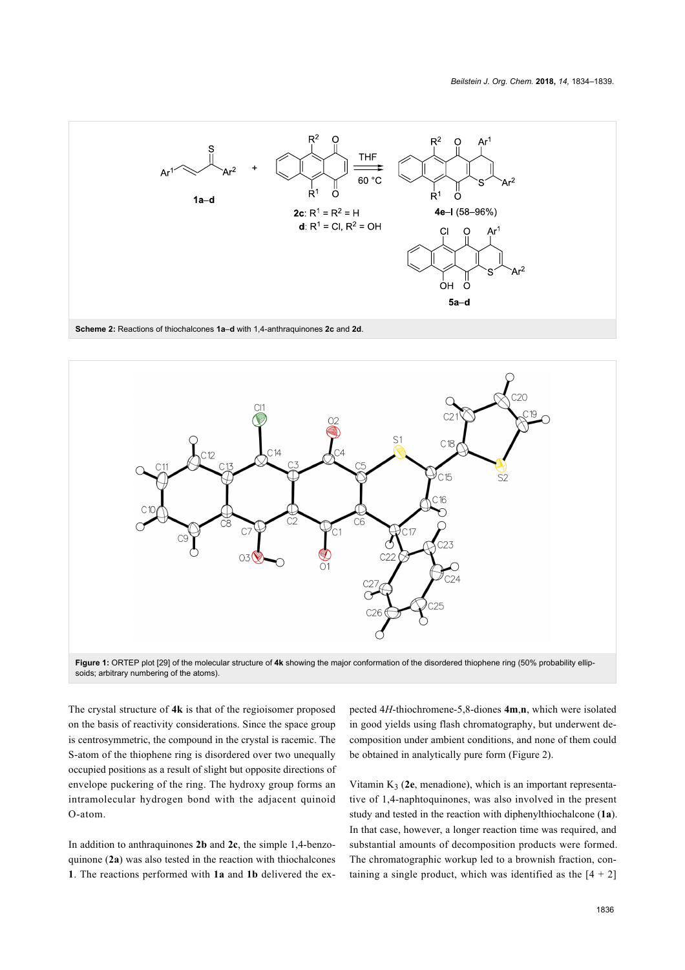<span id="page-2-0"></span>

**Scheme 2:** Reactions of thiochalcones **1a**–**d** with 1,4-anthraquinones **2c** and **2d**.

<span id="page-2-1"></span>

**Figure 1:** ORTEP plot [\[29\]](#page-5-11) of the molecular structure of **4k** showing the major conformation of the disordered thiophene ring (50% probability ellipsoids; arbitrary numbering of the atoms).

The crystal structure of **4k** is that of the regioisomer proposed on the basis of reactivity considerations. Since the space group is centrosymmetric, the compound in the crystal is racemic. The S-atom of the thiophene ring is disordered over two unequally occupied positions as a result of slight but opposite directions of envelope puckering of the ring. The hydroxy group forms an intramolecular hydrogen bond with the adjacent quinoid O-atom.

In addition to anthraquinones **2b** and **2c**, the simple 1,4-benzoquinone (**2a**) was also tested in the reaction with thiochalcones **1**. The reactions performed with **1a** and **1b** delivered the ex-

pected 4*H*-thiochromene-5,8-diones **4m**,**n**, which were isolated in good yields using flash chromatography, but underwent decomposition under ambient conditions, and none of them could be obtained in analytically pure form ([Figure 2\)](#page-3-0).

Vitamin K<sup>3</sup> (**2e**, menadione), which is an important representative of 1,4-naphtoquinones, was also involved in the present study and tested in the reaction with diphenylthiochalcone (**1a**). In that case, however, a longer reaction time was required, and substantial amounts of decomposition products were formed. The chromatographic workup led to a brownish fraction, containing a single product, which was identified as the  $[4 + 2]$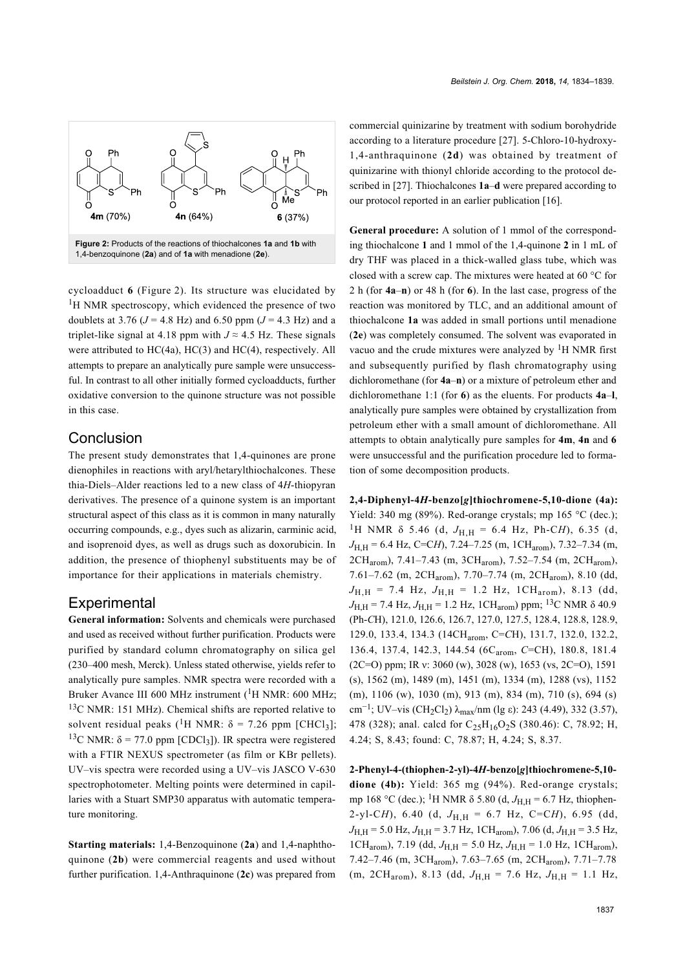<span id="page-3-0"></span>

cycloadduct **6** ([Figure 2](#page-3-0)). Its structure was elucidated by <sup>1</sup>H NMR spectroscopy, which evidenced the presence of two doublets at 3.76 ( $J = 4.8$  Hz) and 6.50 ppm ( $J = 4.3$  Hz) and a triplet-like signal at 4.18 ppm with  $J \approx 4.5$  Hz. These signals were attributed to  $HC(4a)$ ,  $HC(3)$  and  $HC(4)$ , respectively. All attempts to prepare an analytically pure sample were unsuccessful. In contrast to all other initially formed cycloadducts, further oxidative conversion to the quinone structure was not possible in this case.

#### **Conclusion**

The present study demonstrates that 1,4-quinones are prone dienophiles in reactions with aryl/hetarylthiochalcones. These thia-Diels–Alder reactions led to a new class of 4*H*-thiopyran derivatives. The presence of a quinone system is an important structural aspect of this class as it is common in many naturally occurring compounds, e.g., dyes such as alizarin, carminic acid, and isoprenoid dyes, as well as drugs such as doxorubicin. In addition, the presence of thiophenyl substituents may be of importance for their applications in materials chemistry.

## **Experimental**

**General information:** Solvents and chemicals were purchased and used as received without further purification. Products were purified by standard column chromatography on silica gel (230–400 mesh, Merck). Unless stated otherwise, yields refer to analytically pure samples. NMR spectra were recorded with a Bruker Avance III 600 MHz instrument  $(^1H$  NMR: 600 MHz; <sup>13</sup>C NMR: 151 MHz). Chemical shifts are reported relative to solvent residual peaks (<sup>1</sup>H NMR:  $\delta$  = 7.26 ppm [CHCl<sub>3</sub>]; <sup>13</sup>C NMR:  $\delta$  = 77.0 ppm [CDCl<sub>3</sub>]). IR spectra were registered with a FTIR NEXUS spectrometer (as film or KBr pellets). UV–vis spectra were recorded using a UV–vis JASCO V-630 spectrophotometer. Melting points were determined in capillaries with a Stuart SMP30 apparatus with automatic temperature monitoring.

**Starting materials:** 1,4-Benzoquinone (**2a**) and 1,4-naphthoquinone (**2b**) were commercial reagents and used without further purification. 1,4-Anthraquinone (**2c**) was prepared from commercial quinizarine by treatment with sodium borohydride according to a literature procedure [\[27\].](#page-5-10) 5-Chloro-10-hydroxy-1,4-anthraquinone (**2d**) was obtained by treatment of quinizarine with thionyl chloride according to the protocol described in [\[27\]](#page-5-10). Thiochalcones **1a**–**d** were prepared according to our protocol reported in an earlier publication [\[16\]](#page-5-7).

**General procedure:** A solution of 1 mmol of the corresponding thiochalcone **1** and 1 mmol of the 1,4-quinone **2** in 1 mL of dry THF was placed in a thick-walled glass tube, which was closed with a screw cap. The mixtures were heated at 60 °C for 2 h (for **4a**–**n**) or 48 h (for **6**). In the last case, progress of the reaction was monitored by TLC, and an additional amount of thiochalcone **1a** was added in small portions until menadione (**2e**) was completely consumed. The solvent was evaporated in vacuo and the crude mixtures were analyzed by  ${}^{1}$ H NMR first and subsequently purified by flash chromatography using dichloromethane (for **4a**–**n**) or a mixture of petroleum ether and dichloromethane 1:1 (for **6**) as the eluents. For products **4a**–**l**, analytically pure samples were obtained by crystallization from petroleum ether with a small amount of dichloromethane. All attempts to obtain analytically pure samples for **4m**, **4n** and **6** were unsuccessful and the purification procedure led to formation of some decomposition products.

**2,4-Diphenyl-4***H***-benzo[***g***]thiochromene-5,10-dione (4a):** Yield: 340 mg (89%). Red-orange crystals; mp 165 °C (dec.); <sup>1</sup>H NMR  $\delta$  5.46 (d,  $J_{H,H} = 6.4$  Hz, Ph-C*H*), 6.35 (d, *J*<sub>H,H</sub> = 6.4 Hz, C=C*H*), 7.24–7.25 (m, 1CH<sub>arom</sub>), 7.32–7.34 (m, 2CHarom), 7.41–7.43 (m, 3CHarom), 7.52–7.54 (m, 2CHarom), 7.61–7.62 (m, 2CHarom), 7.70–7.74 (m, 2CHarom), 8.10 (dd,  $J_{H,H}$  = 7.4 Hz,  $J_{H,H}$  = 1.2 Hz, 1CH<sub>arom</sub>), 8.13 (dd,  $J_{\text{H,H}}$  = 7.4 Hz,  $J_{\text{H,H}}$  = 1.2 Hz, 1CH<sub>arom</sub>) ppm; <sup>13</sup>C NMR  $\delta$  40.9 (Ph-*C*H), 121.0, 126.6, 126.7, 127.0, 127.5, 128.4, 128.8, 128.9, 129.0, 133.4, 134.3 (14CHarom, C=*C*H), 131.7, 132.0, 132.2, 136.4, 137.4, 142.3, 144.54 (6C<sub>arom</sub>, *C*=CH), 180.8, 181.4 (2C=O) ppm; IR v: 3060 (w), 3028 (w), 1653 (vs, 2C=O), 1591 (s), 1562 (m), 1489 (m), 1451 (m), 1334 (m), 1288 (vs), 1152 (m), 1106 (w), 1030 (m), 913 (m), 834 (m), 710 (s), 694 (s) cm<sup>-1</sup>; UV–vis (CH<sub>2</sub>Cl<sub>2</sub>) λ<sub>max</sub>/nm (lg ε): 243 (4.49), 332 (3.57), 478 (328); anal. calcd for  $C_{25}H_{16}O_{2}S$  (380.46): C, 78.92; H, 4.24; S, 8.43; found: C, 78.87; H, 4.24; S, 8.37.

**2-Phenyl-4-(thiophen-2-yl)-4***H***-benzo[***g***]thiochromene-5,10 dione (4b):** Yield: 365 mg (94%). Red-orange crystals; mp 168 °C (dec.); <sup>1</sup>H NMR δ 5.80 (d, *J*<sub>H,H</sub> = 6.7 Hz, thiophen-2-yl-C*H*), 6.40 (d,  $J_{H,H} = 6.7$  Hz, C=C*H*), 6.95 (dd,  $J_{\text{H} \text{H}}$  = 5.0 Hz,  $J_{\text{H} \text{H}}$  = 3.7 Hz, 1CH<sub>arom</sub>), 7.06 (d,  $J_{\text{H} \text{H}}$  = 3.5 Hz, 1CH<sub>arom</sub>), 7.19 (dd,  $J_{H,H} = 5.0$  Hz,  $J_{H,H} = 1.0$  Hz, 1CH<sub>arom</sub>), 7.42–7.46 (m, 3CHarom), 7.63–7.65 (m, 2CHarom), 7.71–7.78  $(m, 2CH_{arom})$ , 8.13 (dd,  $J_{H,H} = 7.6$  Hz,  $J_{H,H} = 1.1$  Hz,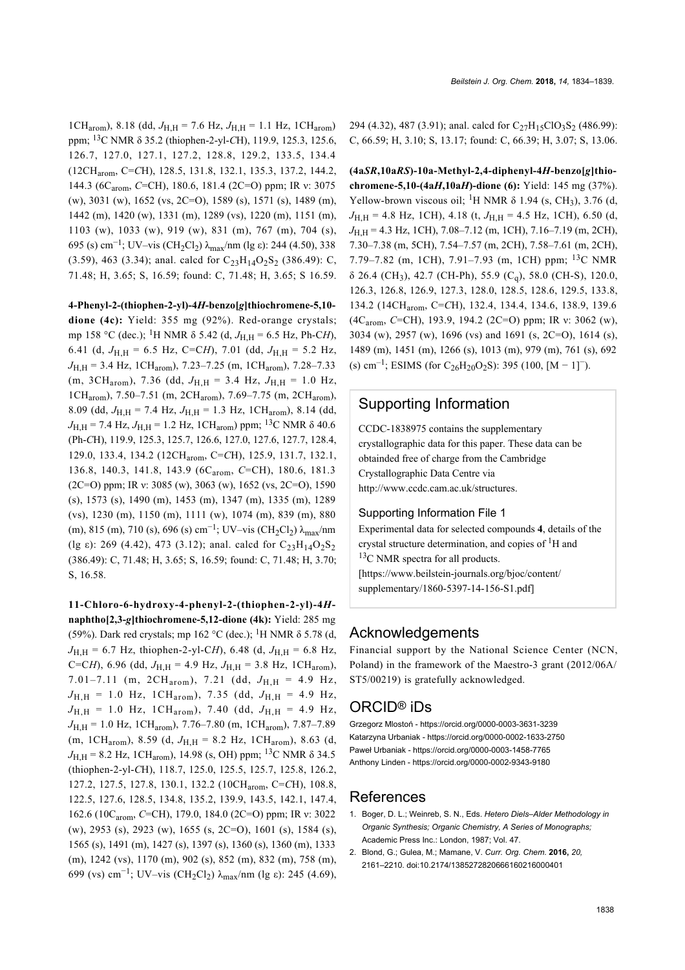1CH<sub>arom</sub>), 8.18 (dd,  $J_{\text{H H}}$  = 7.6 Hz,  $J_{\text{H H}}$  = 1.1 Hz, 1CH<sub>arom</sub>) ppm; 13C NMR δ 35.2 (thiophen-2-yl-*C*H), 119.9, 125.3, 125.6, 126.7, 127.0, 127.1, 127.2, 128.8, 129.2, 133.5, 134.4 (12CHarom, C=*C*H), 128.5, 131.8, 132.1, 135.3, 137.2, 144.2, 144.3 (6C<sub>arom</sub>, *C*=CH), 180.6, 181.4 (2C=O) ppm; IR ν: 3075 (w), 3031 (w), 1652 (vs, 2C=O), 1589 (s), 1571 (s), 1489 (m), 1442 (m), 1420 (w), 1331 (m), 1289 (vs), 1220 (m), 1151 (m), 1103 (w), 1033 (w), 919 (w), 831 (m), 767 (m), 704 (s), 695 (s) cm<sup>-1</sup>; UV–vis (CH<sub>2</sub>Cl<sub>2</sub>) λ<sub>max</sub>/nm (lg ε): 244 (4.50), 338 (3.59), 463 (3.34); anal. calcd for  $C_{23}H_{14}O_2S_2$  (386.49): C, 71.48; H, 3.65; S, 16.59; found: C, 71.48; H, 3.65; S 16.59.

#### **4-Phenyl-2-(thiophen-2-yl)-4***H***-benzo[***g***]thiochromene-5,10-**

**dione (4c):** Yield: 355 mg (92%). Red-orange crystals; mp 158 °C (dec.); <sup>1</sup>H NMR  $\delta$  5.42 (d,  $J_{\rm H \, H}$  = 6.5 Hz, Ph-C*H*), 6.41 (d,  $J_{\text{H H}}$  = 6.5 Hz, C=C*H*), 7.01 (dd,  $J_{\text{H H}}$  = 5.2 Hz, *J*H,H = 3.4 Hz, 1CHarom), 7.23–7.25 (m, 1CHarom), 7.28–7.33 (m, 3CH<sub>arom</sub>), 7.36 (dd,  $J_{H,H} = 3.4$  Hz,  $J_{H,H} = 1.0$  Hz, 1CHarom), 7.50–7.51 (m, 2CHarom), 7.69–7.75 (m, 2CHarom), 8.09 (dd,  $J_{\text{H H}}$  = 7.4 Hz,  $J_{\text{H H}}$  = 1.3 Hz, 1CH<sub>arom</sub>), 8.14 (dd,  $J_{\text{H} \text{H}}$  = 7.4 Hz,  $J_{\text{H} \text{H}}$  = 1.2 Hz, 1CH<sub>arom</sub>) ppm; <sup>13</sup>C NMR  $\delta$  40.6 (Ph-*C*H), 119.9, 125.3, 125.7, 126.6, 127.0, 127.6, 127.7, 128.4, 129.0, 133.4, 134.2 (12CHarom, C=*C*H), 125.9, 131.7, 132.1, 136.8, 140.3, 141.8, 143.9 (6C<sub>arom</sub>, *C*=CH), 180.6, 181.3 (2C=O) ppm; IR ν: 3085 (w), 3063 (w), 1652 (vs, 2C=O), 1590 (s), 1573 (s), 1490 (m), 1453 (m), 1347 (m), 1335 (m), 1289 (vs), 1230 (m), 1150 (m), 1111 (w), 1074 (m), 839 (m), 880 (m), 815 (m), 710 (s), 696 (s) cm<sup>-1</sup>; UV–vis (CH<sub>2</sub>Cl<sub>2</sub>)  $\lambda_{\text{max}}$ /nm (lg  $\varepsilon$ ): 269 (4.42), 473 (3.12); anal. calcd for C<sub>23</sub>H<sub>14</sub>O<sub>2</sub>S<sub>2</sub> (386.49): C, 71.48; H, 3.65; S, 16.59; found: C, 71.48; H, 3.70; S, 16.58.

**11-Chloro-6-hydroxy-4-phenyl-2-(thiophen-2-yl)-4***H***naphtho[2,3-***g***]thiochromene-5,12-dione (4k):** Yield: 285 mg (59%). Dark red crystals; mp 162 °C (dec.); <sup>1</sup>H NMR  $\delta$  5.78 (d,  $J_{\text{H,H}}$  = 6.7 Hz, thiophen-2-yl-C*H*), 6.48 (d,  $J_{\text{H,H}}$  = 6.8 Hz, C=C*H*), 6.96 (dd,  $J_{H,H}$  = 4.9 Hz,  $J_{H,H}$  = 3.8 Hz, 1CH<sub>arom</sub>), 7.01–7.11 (m, 2CH<sub>arom</sub>), 7.21 (dd,  $J_{H,H}$  = 4.9 Hz,  $J_{\text{H,H}}$  = 1.0 Hz, 1CH<sub>arom</sub>), 7.35 (dd,  $J_{\text{H,H}}$  = 4.9 Hz,  $J_{\text{H,H}}$  = 1.0 Hz, 1CH<sub>arom</sub>), 7.40 (dd,  $J_{\text{H,H}}$  = 4.9 Hz, *J*<sub>H,H</sub> = 1.0 Hz, 1CH<sub>arom</sub>), 7.76–7.80 (m, 1CH<sub>arom</sub>), 7.87–7.89 (m, 1CH<sub>arom</sub>), 8.59 (d,  $J_{H,H}$  = 8.2 Hz, 1CH<sub>arom</sub>), 8.63 (d,  $J_{\text{H,H}}$  = 8.2 Hz, 1CH<sub>arom</sub>), 14.98 (s, OH) ppm; <sup>13</sup>C NMR  $\delta$  34.5 (thiophen-2-yl-*C*H), 118.7, 125.0, 125.5, 125.7, 125.8, 126.2, 127.2, 127.5, 127.8, 130.1, 132.2 (10CHarom, C=*C*H), 108.8, 122.5, 127.6, 128.5, 134.8, 135.2, 139.9, 143.5, 142.1, 147.4, 162.6 (10Carom, *C*=CH), 179.0, 184.0 (2C=O) ppm; IR ν: 3022 (w), 2953 (s), 2923 (w), 1655 (s, 2C=O), 1601 (s), 1584 (s), 1565 (s), 1491 (m), 1427 (s), 1397 (s), 1360 (s), 1360 (m), 1333 (m), 1242 (vs), 1170 (m), 902 (s), 852 (m), 832 (m), 758 (m), 699 (vs) cm<sup>-1</sup>; UV-vis (CH<sub>2</sub>Cl<sub>2</sub>) λ<sub>max</sub>/nm (lg ε): 245 (4.69),

294 (4.32), 487 (3.91); anal. calcd for  $C_{27}H_{15}ClO_3S_2$  (486.99): C, 66.59; H, 3.10; S, 13.17; found: C, 66.39; H, 3.07; S, 13.06.

**(4a***SR***,10a***RS***)-10a-Methyl-2,4-diphenyl-4***H***-benzo[***g***]thiochromene-5,10-(4a***H***,10a***H***)-dione (6):** Yield: 145 mg (37%). Yellow-brown viscous oil; <sup>1</sup>H NMR  $\delta$  1.94 (s, CH<sub>3</sub>), 3.76 (d,  $J_{\text{H H}}$  = 4.8 Hz, 1CH), 4.18 (t,  $J_{\text{H H}}$  = 4.5 Hz, 1CH), 6.50 (d, *J*H,H = 4.3 Hz, 1CH), 7.08–7.12 (m, 1CH), 7.16–7.19 (m, 2CH), 7.30–7.38 (m, 5CH), 7.54–7.57 (m, 2CH), 7.58–7.61 (m, 2CH), 7.79–7.82 (m, 1CH), 7.91–7.93 (m, 1CH) ppm;  $^{13}$ C NMR  $\delta$  26.4 (CH<sub>3</sub>), 42.7 (CH-Ph), 55.9 (C<sub>a</sub>), 58.0 (CH-S), 120.0, 126.3, 126.8, 126.9, 127.3, 128.0, 128.5, 128.6, 129.5, 133.8, 134.2 (14CHarom, C=*C*H), 132.4, 134.4, 134.6, 138.9, 139.6 (4Carom, *C*=CH), 193.9, 194.2 (2C=O) ppm; IR ν: 3062 (w), 3034 (w), 2957 (w), 1696 (vs) and 1691 (s, 2C=O), 1614 (s), 1489 (m), 1451 (m), 1266 (s), 1013 (m), 979 (m), 761 (s), 692 (s) cm<sup>-1</sup>; ESIMS (for C<sub>26</sub>H<sub>20</sub>O<sub>2</sub>S): 395 (100, [M – 1]<sup>-</sup>).

### Supporting Information

CCDC-1838975 contains the supplementary crystallographic data for this paper. These data can be obtainded free of charge from the Cambridge Crystallographic Data Centre via <http://www.ccdc.cam.ac.uk/structures>.

#### Supporting Information File 1

Experimental data for selected compounds **4**, details of the crystal structure determination, and copies of  ${}^{1}H$  and  $13C$  NMR spectra for all products. [\[https://www.beilstein-journals.org/bjoc/content/](https://www.beilstein-journals.org/bjoc/content/supplementary/1860-5397-14-156-S1.pdf) [supplementary/1860-5397-14-156-S1.pdf\]](https://www.beilstein-journals.org/bjoc/content/supplementary/1860-5397-14-156-S1.pdf)

### Acknowledgements

Financial support by the National Science Center (NCN, Poland) in the framework of the Maestro-3 grant (2012/06A/ ST5/00219) is gratefully acknowledged.

## ORCID® iDs

Grzegorz Mlostoń -<https://orcid.org/0000-0003-3631-3239> Katarzyna Urbaniak -<https://orcid.org/0000-0002-1633-2750> Paweł Urbaniak - <https://orcid.org/0000-0003-1458-7765> Anthony Linden -<https://orcid.org/0000-0002-9343-9180>

#### References

- <span id="page-4-0"></span>1. Boger, D. L.; Weinreb, S. N., Eds. *Hetero Diels–Alder Methodology in Organic Synthesis; Organic Chemistry, A Series of Monographs;* Academic Press Inc.: London, 1987; Vol. 47.
- 2. Blond, G.; Gulea, M.; Mamane, V. *Curr. Org. Chem.* **2016,** *20,* 2161–2210. [doi:10.2174/1385272820666160216000401](https://doi.org/10.2174%2F1385272820666160216000401)